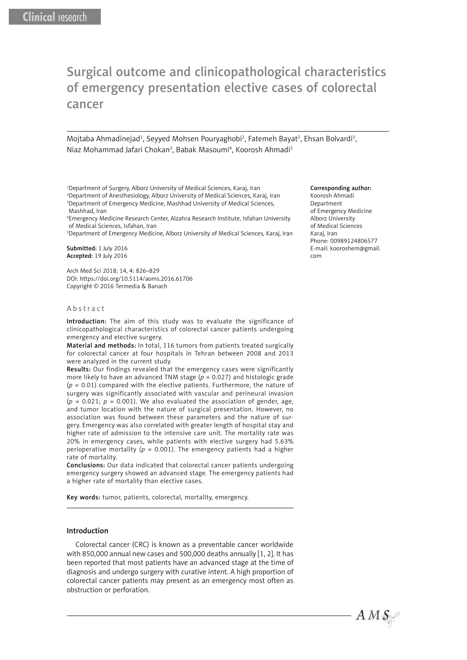# Surgical outcome and clinicopathological characteristics of emergency presentation elective cases of colorectal cancer

Mojtaba Ahmadinejad<sup>1</sup>, Seyyed Mohsen Pouryaghobi<sup>2</sup>, Fatemeh Bayat<sup>2</sup>, Ehsan Bolvardi<sup>3</sup>, Niaz Mohammad Jafari Chokan<sup>3</sup>, Babak Masoumi<sup>4</sup>, Koorosh Ahmadi<sup>5</sup>

1 Department of Surgery, Alborz University of Medical Sciences, Karaj, Iran 2 Department of Anesthesiology, Alborz University of Medical Sciences, Karaj, Iran 3 Department of Emergency Medicine, Mashhad University of Medical Sciences,

Mashhad, Iran 4 Emergency Medicine Research Center, Alzahra Research Institute, Isfahan University of Medical Sciences, Isfahan, Iran

5 Department of Emergency Medicine, Alborz University of Medical Sciences, Karaj, Iran

Submitted: 1 July 2016 Accepted: 19 July 2016

Arch Med Sci 2018; 14, 4: 826–829 DOI: https://doi.org/10.5114/aoms.2016.61706 Copyright © 2016 Termedia & Banach

#### Abstract

Introduction: The aim of this study was to evaluate the significance of clinicopathological characteristics of colorectal cancer patients undergoing emergency and elective surgery.

Material and methods: In total, 116 tumors from patients treated surgically for colorectal cancer at four hospitals in Tehran between 2008 and 2013 were analyzed in the current study.

Results: Our findings revealed that the emergency cases were significantly more likely to have an advanced TNM stage (*p* = 0.027) and histologic grade (*p* = 0.01) compared with the elective patients. Furthermore, the nature of surgery was significantly associated with vascular and perineural invasion  $(p = 0.021; p = 0.001)$ . We also evaluated the association of gender, age, and tumor location with the nature of surgical presentation. However, no association was found between these parameters and the nature of surgery. Emergency was also correlated with greater length of hospital stay and higher rate of admission to the intensive care unit. The mortality rate was 20% in emergency cases, while patients with elective surgery had 5.63% perioperative mortality ( $p = 0.001$ ). The emergency patients had a higher rate of mortality.

Conclusions: Our data indicated that colorectal cancer patients undergoing emergency surgery showed an advanced stage. The emergency patients had a higher rate of mortality than elective cases.

Key words: tumor, patients, colorectal, mortality, emergency.

### Introduction

Colorectal cancer (CRC) is known as a preventable cancer worldwide with 850,000 annual new cases and 500,000 deaths annually [1, 2]. It has been reported that most patients have an advanced stage at the time of diagnosis and undergo surgery with curative intent. A high proportion of colorectal cancer patients may present as an emergency most often as obstruction or perforation.

#### Corresponding author:

Koorosh Ahmadi Department of Emergency Medicine Alborz University of Medical Sciences Karaj, Iran Phone: 00989124806577 E-mail: k[ooroshem@gmail.](mailto:Kooroshahmadi@hotmail.com) [com](mailto:Kooroshahmadi@hotmail.com)

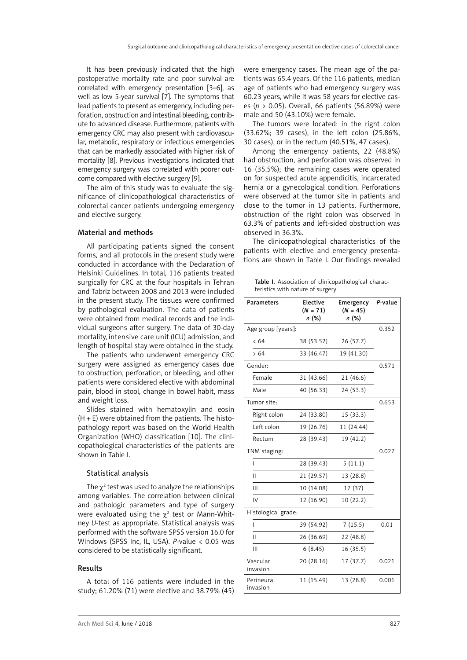It has been previously indicated that the high postoperative mortality rate and poor survival are correlated with emergency presentation [3–6], as well as low 5-year survival [7]. The symptoms that lead patients to present as emergency, including perforation, obstruction and intestinal bleeding, contribute to advanced disease. Furthermore, patients with emergency CRC may also present with cardiovascular, metabolic, respiratory or infectious emergencies that can be markedly associated with higher risk of mortality [8]. Previous investigations indicated that emergency surgery was correlated with poorer outcome compared with elective surgery [9].

The aim of this study was to evaluate the significance of clinicopathological characteristics of colorectal cancer patients undergoing emergency and elective surgery.

## Material and methods

All participating patients signed the consent forms, and all protocols in the present study were conducted in accordance with the Declaration of Helsinki Guidelines. In total, 116 patients treated surgically for CRC at the four hospitals in Tehran and Tabriz between 2008 and 2013 were included in the present study. The tissues were confirmed by pathological evaluation. The data of patients were obtained from medical records and the individual surgeons after surgery. The data of 30-day mortality, intensive care unit (ICU) admission, and length of hospital stay were obtained in the study.

The patients who underwent emergency CRC surgery were assigned as emergency cases due to obstruction, perforation, or bleeding, and other patients were considered elective with abdominal pain, blood in stool, change in bowel habit, mass and weight loss.

Slides stained with hematoxylin and eosin  $(H + E)$  were obtained from the patients. The histopathology report was based on the World Health Organization (WHO) classification [10]. The clinicopathological characteristics of the patients are shown in Table I.

#### Statistical analysis

The  $\chi^2$  test was used to analyze the relationships among variables. The correlation between clinical and pathologic parameters and type of surgery were evaluated using the  $\chi^2$  test or Mann-Whitney *U*-test as appropriate. Statistical analysis was performed with the software SPSS version 16.0 for Windows (SPSS Inc, IL, USA). *P*-value < 0.05 was considered to be statistically significant.

### Results

A total of 116 patients were included in the study; 61.20% (71) were elective and 38.79% (45) were emergency cases. The mean age of the patients was 65.4 years. Of the 116 patients, median age of patients who had emergency surgery was 60.23 years, while it was 58 years for elective cases (*p* > 0.05). Overall, 66 patients (56.89%) were male and 50 (43.10%) were female.

The tumors were located: in the right colon (33.62%; 39 cases), in the left colon (25.86%, 30 cases), or in the rectum (40.51%, 47 cases).

Among the emergency patients, 22 (48.8%) had obstruction, and perforation was observed in 16 (35.5%); the remaining cases were operated on for suspected acute appendicitis, incarcerated hernia or a gynecological condition. Perforations were observed at the tumor site in patients and close to the tumor in 13 patients. Furthermore, obstruction of the right colon was observed in 63.3% of patients and left-sided obstruction was observed in 36.3%.

The clinicopathological characteristics of the patients with elective and emergency presentations are shown in Table I. Our findings revealed

Table I. Association of clinicopathological characteristics with nature of surgery

| <b>Parameters</b>      | Elective<br>$(N = 71)$<br>n (%) | Emergency<br>$(N = 45)$<br>n (%) | P-value |
|------------------------|---------------------------------|----------------------------------|---------|
| Age group [years]:     | 0.352                           |                                  |         |
| < 64                   | 38 (53.52)                      | 26 (57.7)                        |         |
| >64                    | 33 (46.47)                      | 19 (41.30)                       |         |
| Gender:                | 0.571                           |                                  |         |
| Female                 | 31 (43.66)                      | 21 (46.6)                        |         |
| Male                   | 40 (56.33)                      | 24 (53.3)                        |         |
| Tumor site:            |                                 |                                  | 0.653   |
| Right colon            | 24 (33.80)                      | 15 (33.3)                        |         |
| Left colon             | 19 (26.76)                      | 11 (24.44)                       |         |
| Rectum                 | 28 (39.43)                      | 19 (42.2)                        |         |
| TNM staging:           |                                 |                                  | 0.027   |
| I                      | 28 (39.43)                      | 5(11.1)                          |         |
| П                      | 21 (29.57)                      | 13 (28.8)                        |         |
| Ш                      | 10 (14.08)                      | 17 (37)                          |         |
| IV                     | 12 (16.90)                      | 10 (22.2)                        |         |
| Histological grade:    |                                 |                                  |         |
| I                      | 39 (54.92)                      | 7(15.5)                          | 0.01    |
| Ш                      | 26 (36.69)                      | 22 (48.8)                        |         |
| Ш                      | 6(8.45)                         | 16 (35.5)                        |         |
| Vascular<br>invasion   | 20 (28.16)                      | 17 (37.7)                        | 0.021   |
| Perineural<br>invasion | 11 (15.49)                      | 13 (28.8)                        | 0.001   |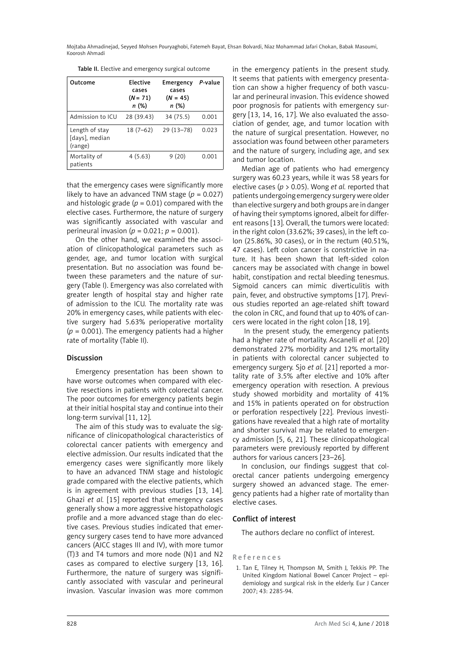Mojtaba Ahmadinejad, Seyyed Mohsen Pouryaghobi, Fatemeh Bayat, Ehsan Bolvardi, Niaz Mohammad Jafari Chokan, Babak Masoumi, Koorosh Ahmadi

Table II. Elective and emergency surgical outcome

| Outcome                                     | <b>Flective</b><br>cases<br>$(N = 71)$<br>n (%) | Emergency<br>cases<br>$(N = 45)$<br>n (%) | P-value |
|---------------------------------------------|-------------------------------------------------|-------------------------------------------|---------|
| Admission to ICU                            | 28 (39.43)                                      | 34 (75.5)                                 | 0.001   |
| Length of stay<br>[days], median<br>(range) | $18(7-62)$                                      | $29(13 - 78)$                             | 0.023   |
| Mortality of<br>patients                    | 4(5.63)                                         | 9(20)                                     | 0.001   |

that the emergency cases were significantly more likely to have an advanced TNM stage  $(p = 0.027)$ and histologic grade  $(p = 0.01)$  compared with the elective cases. Furthermore, the nature of surgery was significantly associated with vascular and perineural invasion (*p* = 0.021; *p* = 0.001).

On the other hand, we examined the association of clinicopathological parameters such as gender, age, and tumor location with surgical presentation. But no association was found between these parameters and the nature of surgery (Table I). Emergency was also correlated with greater length of hospital stay and higher rate of admission to the ICU. The mortality rate was 20% in emergency cases, while patients with elective surgery had 5.63% perioperative mortality  $(p = 0.001)$ . The emergency patients had a higher rate of mortality (Table II).

## Discussion

Emergency presentation has been shown to have worse outcomes when compared with elective resections in patients with colorectal cancer. The poor outcomes for emergency patients begin at their initial hospital stay and continue into their long-term survival [11, 12].

The aim of this study was to evaluate the significance of clinicopathological characteristics of colorectal cancer patients with emergency and elective admission. Our results indicated that the emergency cases were significantly more likely to have an advanced TNM stage and histologic grade compared with the elective patients, which is in agreement with previous studies [13, 14]. Ghazi *et al.* [15] reported that emergency cases generally show a more aggressive histopathologic profile and a more advanced stage than do elective cases. Previous studies indicated that emergency surgery cases tend to have more advanced cancers (AJCC stages III and IV), with more tumor (T)3 and T4 tumors and more node (N)1 and N2 cases as compared to elective surgery [13, 16]. Furthermore, the nature of surgery was significantly associated with vascular and perineural invasion. Vascular invasion was more common

in the emergency patients in the present study. It seems that patients with emergency presentation can show a higher frequency of both vascular and perineural invasion. This evidence showed poor prognosis for patients with emergency surgery [13, 14, 16, 17]. We also evaluated the association of gender, age, and tumor location with the nature of surgical presentation. However, no association was found between other parameters and the nature of surgery, including age, and sex and tumor location.

Median age of patients who had emergency surgery was 60.23 years, while it was 58 years for elective cases (*p* > 0.05). Wong *et al.* reported that patients undergoing emergency surgery were older than elective surgery and both groups are in danger of having their symptoms ignored, albeit for different reasons [13]. Overall, the tumors were located: in the right colon (33.62%; 39 cases), in the left colon (25.86%, 30 cases), or in the rectum (40.51%, 47 cases). Left colon cancer is constrictive in nature. It has been shown that left-sided colon cancers may be associated with change in bowel habit, constipation and rectal bleeding tenesmus. Sigmoid cancers can mimic diverticulitis with pain, fever, and obstructive symptoms [17]. Previous studies reported an age-related shift toward the colon in CRC, and found that up to 40% of cancers were located in the right colon [18, 19].

 In the present study, the emergency patients had a higher rate of mortality. Ascanelli *et al.* [20] demonstrated 27% morbidity and 12% mortality in patients with colorectal cancer subjected to emergency surgery. Sjo *et al.* [21] reported a mortality rate of 3.5% after elective and 10% after emergency operation with resection. A previous study showed morbidity and mortality of 41% and 15% in patients operated on for obstruction or perforation respectively [22]. Previous investigations have revealed that a high rate of mortality and shorter survival may be related to emergency admission [5, 6, 21]. These clinicopathological parameters were previously reported by different authors for various cancers [23–26].

In conclusion, our findings suggest that colorectal cancer patients undergoing emergency surgery showed an advanced stage. The emergency patients had a higher rate of mortality than elective cases.

## Conflict of interest

The authors declare no conflict of interest.

### References

1. Tan E, Tilney H, Thompson M, Smith J, Tekkis PP. The United Kingdom National Bowel Cancer Project – epidemiology and surgical risk in the elderly. Eur J Cancer 2007; 43: 2285-94.